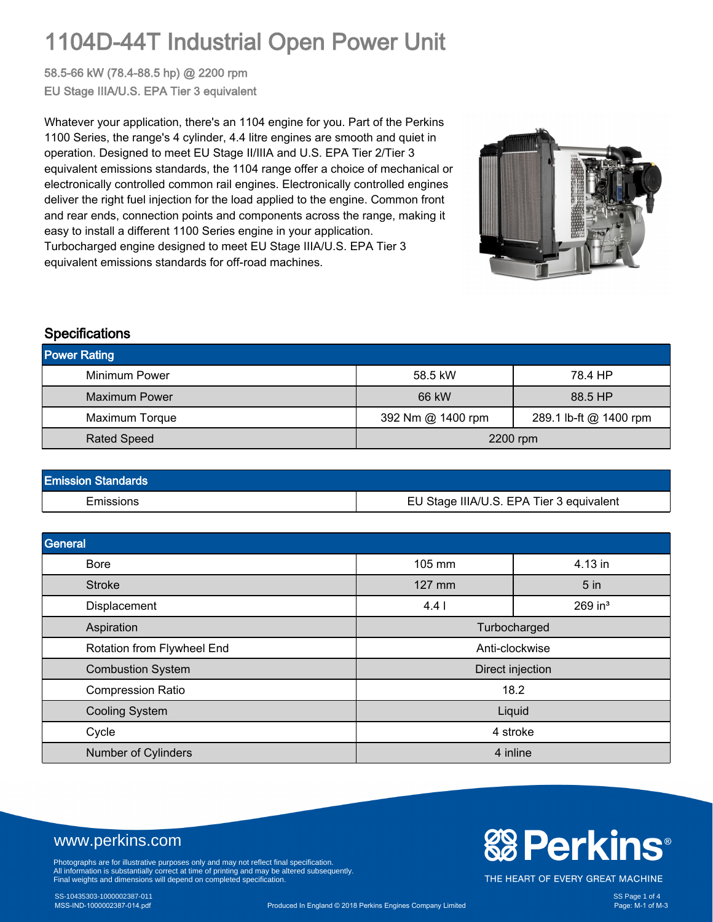# 1104D-44T Industrial Open Power Unit

58.5-66 kW (78.4-88.5 hp) @ 2200 rpm EU Stage IIIA/U.S. EPA Tier 3 equivalent

Whatever your application, there's an 1104 engine for you. Part of the Perkins 1100 Series, the range's 4 cylinder, 4.4 litre engines are smooth and quiet in operation. Designed to meet EU Stage II/IIIA and U.S. EPA Tier 2/Tier 3 equivalent emissions standards, the 1104 range offer a choice of mechanical or electronically controlled common rail engines. Electronically controlled engines deliver the right fuel injection for the load applied to the engine. Common front and rear ends, connection points and components across the range, making it easy to install a different 1100 Series engine in your application. Turbocharged engine designed to meet EU Stage IIIA/U.S. EPA Tier 3 equivalent emissions standards for off-road machines.



#### **Specifications**

| <b>Power Rating</b> |                   |                        |  |
|---------------------|-------------------|------------------------|--|
| Minimum Power       | 58.5 kW           | 78.4 HP                |  |
| Maximum Power       | 66 kW             | 88.5 HP                |  |
| Maximum Torque      | 392 Nm @ 1400 rpm | 289.1 lb-ft @ 1400 rpm |  |
| <b>Rated Speed</b>  | 2200 rpm          |                        |  |

| <b>Emission Standards</b> |                                          |
|---------------------------|------------------------------------------|
| Emissions                 | EU Stage IIIA/U.S. EPA Tier 3 equivalent |

| General                    |                              |                 |  |
|----------------------------|------------------------------|-----------------|--|
| <b>Bore</b>                | 105 mm                       | 4.13 in         |  |
| <b>Stroke</b>              | 127 mm                       | 5 <sub>in</sub> |  |
| Displacement               | $269$ in <sup>3</sup><br>4.4 |                 |  |
| Aspiration                 | Turbocharged                 |                 |  |
| Rotation from Flywheel End | Anti-clockwise               |                 |  |
| <b>Combustion System</b>   | Direct injection             |                 |  |
| <b>Compression Ratio</b>   | 18.2                         |                 |  |
| <b>Cooling System</b>      | Liquid                       |                 |  |
| Cycle                      | 4 stroke                     |                 |  |
| Number of Cylinders        | 4 inline                     |                 |  |

### www.perkins.com

Photographs are for illustrative purposes only and may not reflect final specification.<br>All information is substantially correct at time of printing and may be altered subsequently.<br>Final weights and dimensions will depend

### SS-10435303-1000002387-011 SS Page 1 of 4

# **& Perkins®**

THE HEART OF EVERY GREAT MACHINE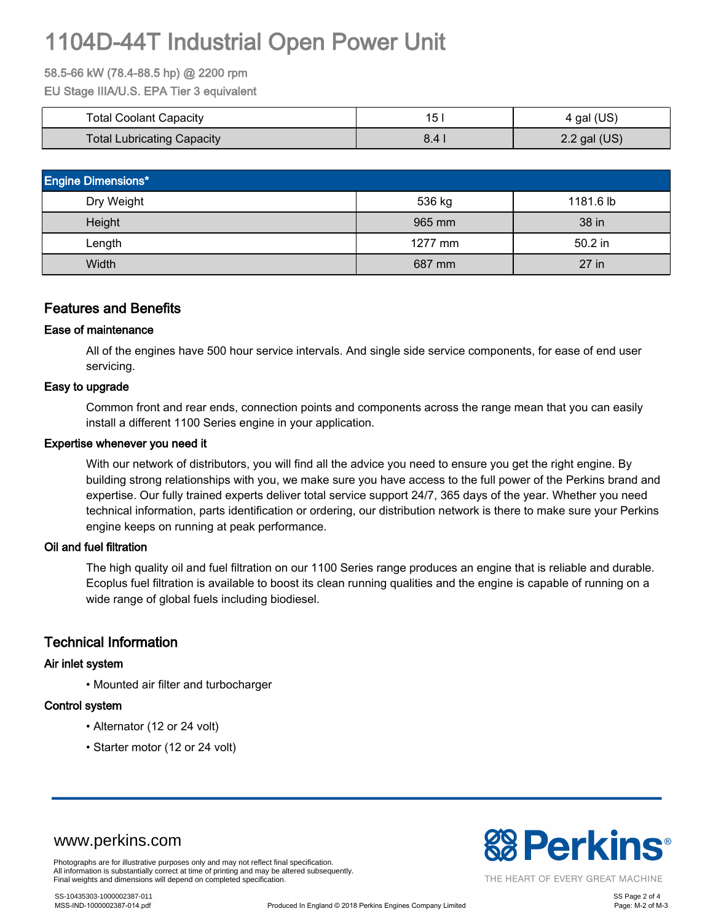# 1104D-44T Industrial Open Power Unit

#### 58.5-66 kW (78.4-88.5 hp) @ 2200 rpm

EU Stage IIIA/U.S. EPA Tier 3 equivalent

| <b>Total Coolant Capacity</b> | 15            | 4 gal (US)     |
|-------------------------------|---------------|----------------|
| Total Lubricating Capacity    | $8.4^{\circ}$ | $2.2$ gal (US) |

| <b>Engine Dimensions*</b> |           |           |  |  |
|---------------------------|-----------|-----------|--|--|
| Dry Weight                | 536 kg    | 1181.6 lb |  |  |
| Height                    | 965 mm    | 38 in     |  |  |
| Length                    | $1277$ mm | $50.2$ in |  |  |
| Width                     | 687 mm    | 27 in     |  |  |

#### Features and Benefits

#### Ease of maintenance

All of the engines have 500 hour service intervals. And single side service components, for ease of end user servicing.

#### Easy to upgrade

Common front and rear ends, connection points and components across the range mean that you can easily install a different 1100 Series engine in your application.

#### Expertise whenever you need it

With our network of distributors, you will find all the advice you need to ensure you get the right engine. By building strong relationships with you, we make sure you have access to the full power of the Perkins brand and expertise. Our fully trained experts deliver total service support 24/7, 365 days of the year. Whether you need technical information, parts identification or ordering, our distribution network is there to make sure your Perkins engine keeps on running at peak performance.

#### Oil and fuel filtration

The high quality oil and fuel filtration on our 1100 Series range produces an engine that is reliable and durable. Ecoplus fuel filtration is available to boost its clean running qualities and the engine is capable of running on a wide range of global fuels including biodiesel.

#### Technical Information

#### Air inlet system

• Mounted air filter and turbocharger

#### Control system

- Alternator (12 or 24 volt)
- Starter motor (12 or 24 volt)



THE HEART OF EVERY GREAT MACHINE

www.perkins.com

Photographs are for illustrative purposes only and may not reflect final specification. All information is substantially correct at time of printing and may be altered subsequently. Final weights and dimensions will depend on completed specification.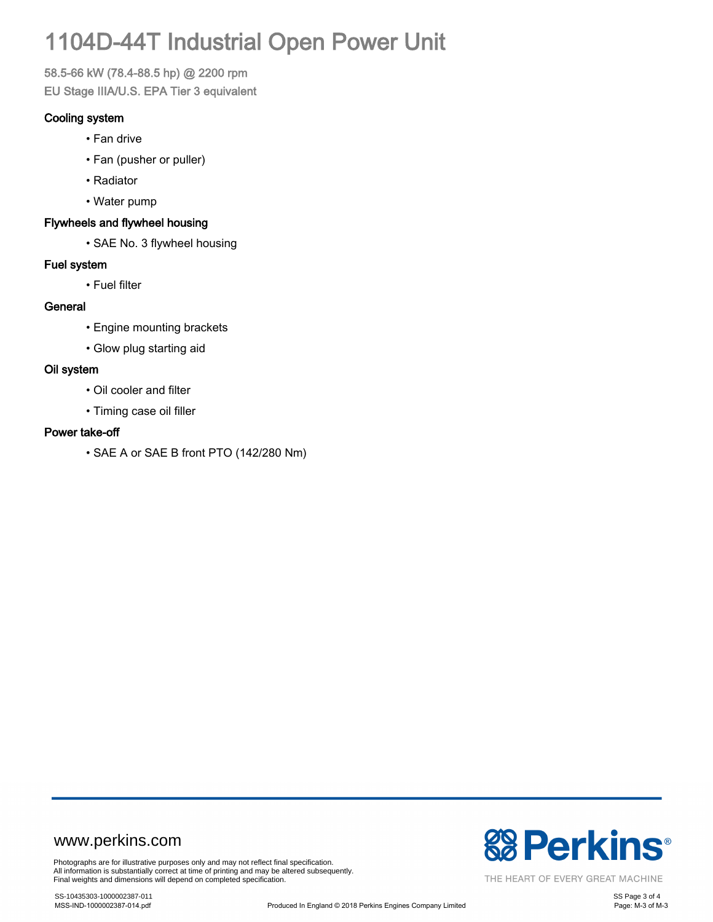# 1104D-44T Industrial Open Power Unit

58.5-66 kW (78.4-88.5 hp) @ 2200 rpm EU Stage IIIA/U.S. EPA Tier 3 equivalent

#### Cooling system

- Fan drive
- Fan (pusher or puller)
- Radiator
- Water pump

#### Flywheels and flywheel housing

• SAE No. 3 flywheel housing

#### Fuel system

• Fuel filter

#### **General**

- Engine mounting brackets
- Glow plug starting aid

#### Oil system

- Oil cooler and filter
- Timing case oil filler

#### Power take-off

• SAE A or SAE B front PTO (142/280 Nm)

### www.perkins.com

Photographs are for illustrative purposes only and may not reflect final specification. All information is substantially correct at time of printing and may be altered subsequently. Final weights and dimensions will depend on completed specification.



THE HEART OF EVERY GREAT MACHINE